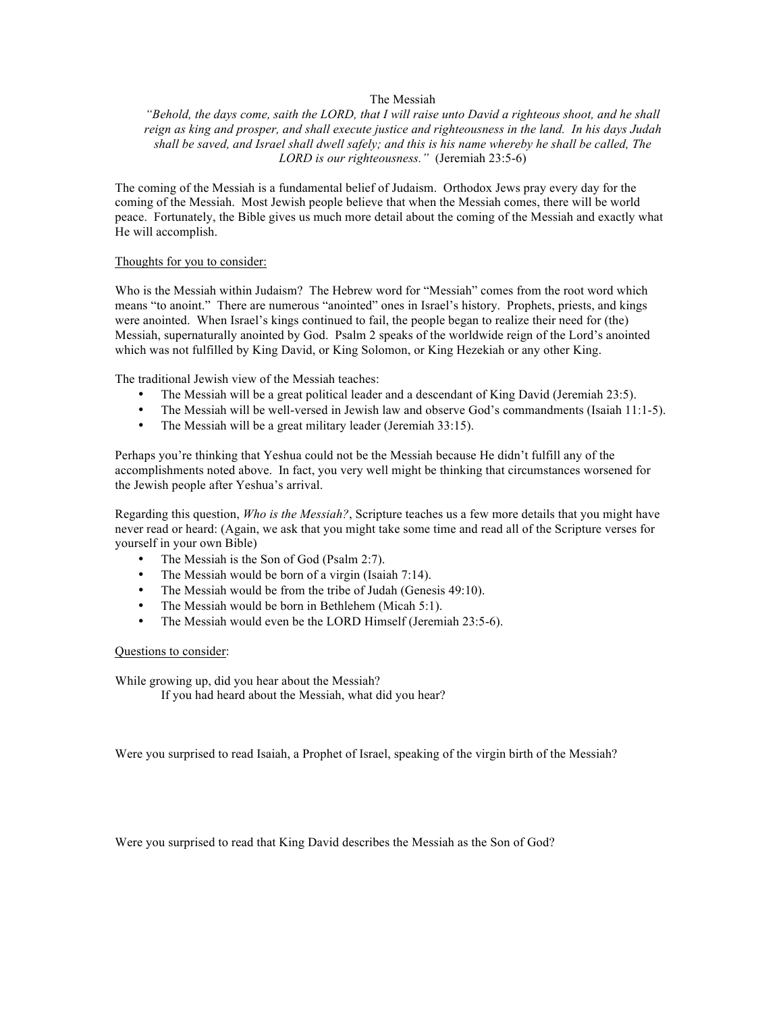## The Messiah

*"Behold, the days come, saith the LORD, that I will raise unto David a righteous shoot, and he shall reign as king and prosper, and shall execute justice and righteousness in the land. In his days Judah shall be saved, and Israel shall dwell safely; and this is his name whereby he shall be called, The LORD is our righteousness."* (Jeremiah 23:5-6)

The coming of the Messiah is a fundamental belief of Judaism. Orthodox Jews pray every day for the coming of the Messiah. Most Jewish people believe that when the Messiah comes, there will be world peace. Fortunately, the Bible gives us much more detail about the coming of the Messiah and exactly what He will accomplish.

#### Thoughts for you to consider:

Who is the Messiah within Judaism? The Hebrew word for "Messiah" comes from the root word which means "to anoint." There are numerous "anointed" ones in Israel's history. Prophets, priests, and kings were anointed. When Israel's kings continued to fail, the people began to realize their need for (the) Messiah, supernaturally anointed by God. Psalm 2 speaks of the worldwide reign of the Lord's anointed which was not fulfilled by King David, or King Solomon, or King Hezekiah or any other King.

The traditional Jewish view of the Messiah teaches:

- The Messiah will be a great political leader and a descendant of King David (Jeremiah 23:5).
- The Messiah will be well-versed in Jewish law and observe God's commandments (Isaiah 11:1-5).
- The Messiah will be a great military leader (Jeremiah 33:15).

Perhaps you're thinking that Yeshua could not be the Messiah because He didn't fulfill any of the accomplishments noted above. In fact, you very well might be thinking that circumstances worsened for the Jewish people after Yeshua's arrival.

Regarding this question, *Who is the Messiah?*, Scripture teaches us a few more details that you might have never read or heard: (Again, we ask that you might take some time and read all of the Scripture verses for yourself in your own Bible)

- The Messiah is the Son of God (Psalm 2:7).
- The Messiah would be born of a virgin (Isaiah 7:14).
- The Messiah would be from the tribe of Judah (Genesis 49:10).
- The Messiah would be born in Bethlehem (Micah 5:1).
- The Messiah would even be the LORD Himself (Jeremiah 23:5-6).

#### Questions to consider:

While growing up, did you hear about the Messiah? If you had heard about the Messiah, what did you hear?

Were you surprised to read Isaiah, a Prophet of Israel, speaking of the virgin birth of the Messiah?

Were you surprised to read that King David describes the Messiah as the Son of God?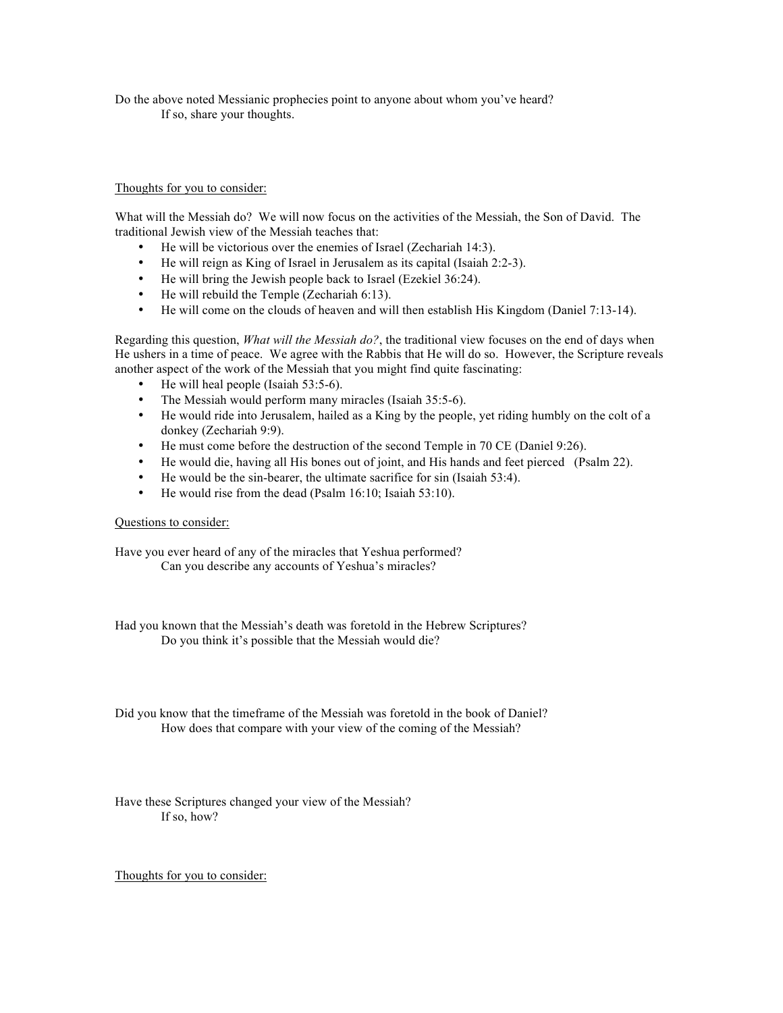Do the above noted Messianic prophecies point to anyone about whom you've heard? If so, share your thoughts.

## Thoughts for you to consider:

What will the Messiah do? We will now focus on the activities of the Messiah, the Son of David. The traditional Jewish view of the Messiah teaches that:

- He will be victorious over the enemies of Israel (Zechariah 14:3).
- He will reign as King of Israel in Jerusalem as its capital (Isaiah 2:2-3).
- He will bring the Jewish people back to Israel (Ezekiel 36:24).
- He will rebuild the Temple (Zechariah 6:13).
- He will come on the clouds of heaven and will then establish His Kingdom (Daniel 7:13-14).

Regarding this question, *What will the Messiah do?*, the traditional view focuses on the end of days when He ushers in a time of peace. We agree with the Rabbis that He will do so. However, the Scripture reveals another aspect of the work of the Messiah that you might find quite fascinating:

- He will heal people (Isaiah 53:5-6).
- The Messiah would perform many miracles (Isaiah 35:5-6).
- He would ride into Jerusalem, hailed as a King by the people, yet riding humbly on the colt of a donkey (Zechariah 9:9).
- He must come before the destruction of the second Temple in 70 CE (Daniel 9:26).
- He would die, having all His bones out of joint, and His hands and feet pierced (Psalm 22).
- He would be the sin-bearer, the ultimate sacrifice for sin (Isaiah 53:4).<br>• He would rise from the dead (Psalm  $16:10$ : Isaiah 53:10)
- He would rise from the dead (Psalm 16:10; Isaiah 53:10).

# Questions to consider:

Have you ever heard of any of the miracles that Yeshua performed? Can you describe any accounts of Yeshua's miracles?

Had you known that the Messiah's death was foretold in the Hebrew Scriptures? Do you think it's possible that the Messiah would die?

Did you know that the timeframe of the Messiah was foretold in the book of Daniel? How does that compare with your view of the coming of the Messiah?

Have these Scriptures changed your view of the Messiah? If so, how?

Thoughts for you to consider: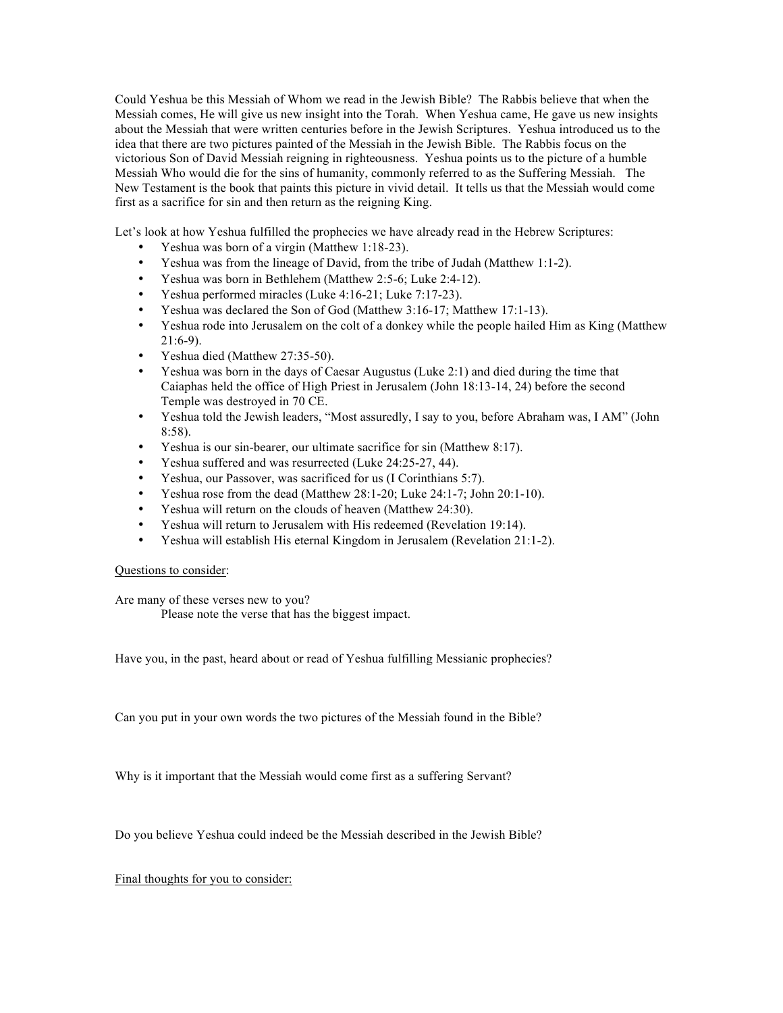Could Yeshua be this Messiah of Whom we read in the Jewish Bible? The Rabbis believe that when the Messiah comes, He will give us new insight into the Torah. When Yeshua came, He gave us new insights about the Messiah that were written centuries before in the Jewish Scriptures. Yeshua introduced us to the idea that there are two pictures painted of the Messiah in the Jewish Bible. The Rabbis focus on the victorious Son of David Messiah reigning in righteousness. Yeshua points us to the picture of a humble Messiah Who would die for the sins of humanity, commonly referred to as the Suffering Messiah. The New Testament is the book that paints this picture in vivid detail. It tells us that the Messiah would come first as a sacrifice for sin and then return as the reigning King.

Let's look at how Yeshua fulfilled the prophecies we have already read in the Hebrew Scriptures:

- Yeshua was born of a virgin (Matthew 1:18-23).
- Yeshua was from the lineage of David, from the tribe of Judah (Matthew 1:1-2).
- Yeshua was born in Bethlehem (Matthew 2:5-6; Luke 2:4-12).
- Yeshua performed miracles (Luke 4:16-21; Luke 7:17-23).
- Yeshua was declared the Son of God (Matthew 3:16-17; Matthew 17:1-13).
- Yeshua rode into Jerusalem on the colt of a donkey while the people hailed Him as King (Matthew 21:6-9).
- Yeshua died (Matthew 27:35-50).
- Yeshua was born in the days of Caesar Augustus (Luke 2:1) and died during the time that Caiaphas held the office of High Priest in Jerusalem (John 18:13-14, 24) before the second Temple was destroyed in 70 CE.
- Yeshua told the Jewish leaders, "Most assuredly, I say to you, before Abraham was, I AM" (John 8:58).
- Yeshua is our sin-bearer, our ultimate sacrifice for sin (Matthew 8:17).
- Yeshua suffered and was resurrected (Luke 24:25-27, 44).
- Yeshua, our Passover, was sacrificed for us (I Corinthians 5:7).
- Yeshua rose from the dead (Matthew 28:1-20; Luke 24:1-7; John 20:1-10).
- Yeshua will return on the clouds of heaven (Matthew 24:30).
- Yeshua will return to Jerusalem with His redeemed (Revelation 19:14).
- Yeshua will establish His eternal Kingdom in Jerusalem (Revelation 21:1-2).

### Questions to consider:

Are many of these verses new to you?

Please note the verse that has the biggest impact.

Have you, in the past, heard about or read of Yeshua fulfilling Messianic prophecies?

Can you put in your own words the two pictures of the Messiah found in the Bible?

Why is it important that the Messiah would come first as a suffering Servant?

Do you believe Yeshua could indeed be the Messiah described in the Jewish Bible?

Final thoughts for you to consider: